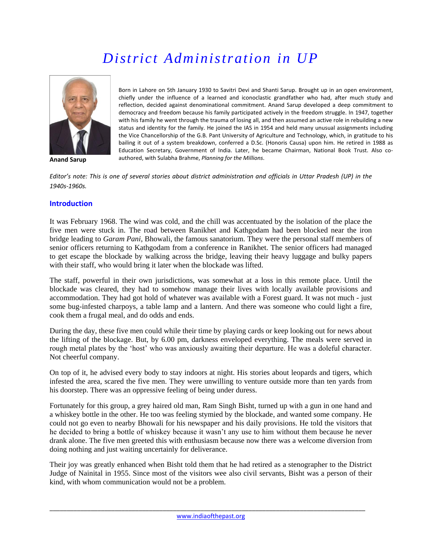# *District Administration in UP*



**Anand Sarup**

Born in Lahore on 5th January 1930 to Savitri Devi and Shanti Sarup. Brought up in an open environment, chiefly under the influence of a learned and iconoclastic grandfather who had, after much study and reflection, decided against denominational commitment. Anand Sarup developed a deep commitment to democracy and freedom because his family participated actively in the freedom struggle. In 1947, together with his family he went through the trauma of losing all, and then assumed an active role in rebuilding a new status and identity for the family. He joined the IAS in 1954 and held many unusual assignments including the Vice Chancellorship of the G.B. Pant University of Agriculture and Technology, which, in gratitude to his bailing it out of a system breakdown, conferred a D.Sc. (Honoris Causa) upon him. He retired in 1988 as Education Secretary, Government of India. Later, he became Chairman, National Book Trust. Also coauthored, with Sulabha Brahme, *Planning for the Millions*.

*Editor's note: This is one of several stories about district administration and officials in Uttar Pradesh (UP) in the 1940s-1960s.*

## **Introduction**

It was February 1968. The wind was cold, and the chill was accentuated by the isolation of the place the five men were stuck in. The road between Ranikhet and Kathgodam had been blocked near the iron bridge leading to *Garam Pani*, Bhowali, the famous sanatorium. They were the personal staff members of senior officers returning to Kathgodam from a conference in Ranikhet. The senior officers had managed to get escape the blockade by walking across the bridge, leaving their heavy luggage and bulky papers with their staff, who would bring it later when the blockade was lifted.

The staff, powerful in their own jurisdictions, was somewhat at a loss in this remote place. Until the blockade was cleared, they had to somehow manage their lives with locally available provisions and accommodation. They had got hold of whatever was available with a Forest guard. It was not much - just some bug-infested charpoys, a table lamp and a lantern. And there was someone who could light a fire, cook them a frugal meal, and do odds and ends.

During the day, these five men could while their time by playing cards or keep looking out for news about the lifting of the blockage. But, by 6.00 pm, darkness enveloped everything. The meals were served in rough metal plates by the 'host' who was anxiously awaiting their departure. He was a doleful character. Not cheerful company.

On top of it, he advised every body to stay indoors at night. His stories about leopards and tigers, which infested the area, scared the five men. They were unwilling to venture outside more than ten yards from his doorstep. There was an oppressive feeling of being under duress.

Fortunately for this group, a grey haired old man, Ram Singh Bisht, turned up with a gun in one hand and a whiskey bottle in the other. He too was feeling stymied by the blockade, and wanted some company. He could not go even to nearby Bhowali for his newspaper and his daily provisions. He told the visitors that he decided to bring a bottle of whiskey because it wasn't any use to him without them because he never drank alone. The five men greeted this with enthusiasm because now there was a welcome diversion from doing nothing and just waiting uncertainly for deliverance.

Their joy was greatly enhanced when Bisht told them that he had retired as a stenographer to the District Judge of Nainital in 1955. Since most of the visitors wee also civil servants, Bisht was a person of their kind, with whom communication would not be a problem.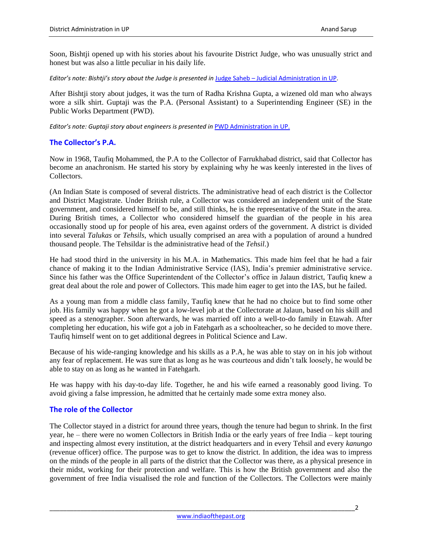Soon, Bishtji opened up with his stories about his favourite District Judge, who was unusually strict and honest but was also a little peculiar in his daily life.

*Editor's note: Bishtji's story about the Judge is presented in* Judge Saheb – [Judicial Administration in UP.](http://www.indiaofthepast.org/capture-memories/read-contributions/life-back-then/244-judge-saheb-judicial-administration-in-up-by-anand-sarup)

After Bishtji story about judges, it was the turn of Radha Krishna Gupta, a wizened old man who always wore a silk shirt. Guptaji was the P.A. (Personal Assistant) to a Superintending Engineer (SE) in the Public Works Department (PWD).

*Editor's note: Guptaji story about engineers is presented in* [PWD Administration in UP.](http://www.indiaofthepast.org/capture-memories/read-contributions/life-back-then/245-pwd-administration-in-up-by-anand-sarup)

## **The Collector's P.A.**

Now in 1968, Taufiq Mohammed, the P.A to the Collector of Farrukhabad district, said that Collector has become an anachronism. He started his story by explaining why he was keenly interested in the lives of Collectors.

(An Indian State is composed of several districts. The administrative head of each district is the Collector and District Magistrate. Under British rule, a Collector was considered an independent unit of the State government, and considered himself to be, and still thinks, he is the representative of the State in the area. During British times, a Collector who considered himself the guardian of the people in his area occasionally stood up for people of his area, even against orders of the government. A district is divided into several *Talukas* or *Tehsils*, which usually comprised an area with a population of around a hundred thousand people. The Tehsildar is the administrative head of the *Tehsil*.)

He had stood third in the university in his M.A. in Mathematics. This made him feel that he had a fair chance of making it to the Indian Administrative Service (IAS), India's premier administrative service. Since his father was the Office Superintendent of the Collector's office in Jalaun district, Taufiq knew a great deal about the role and power of Collectors. This made him eager to get into the IAS, but he failed.

As a young man from a middle class family, Taufiq knew that he had no choice but to find some other job. His family was happy when he got a low-level job at the Collectorate at Jalaun, based on his skill and speed as a stenographer. Soon afterwards, he was married off into a well-to-do family in Etawah. After completing her education, his wife got a job in Fatehgarh as a schoolteacher, so he decided to move there. Taufiq himself went on to get additional degrees in Political Science and Law.

Because of his wide-ranging knowledge and his skills as a P.A, he was able to stay on in his job without any fear of replacement. He was sure that as long as he was courteous and didn't talk loosely, he would be able to stay on as long as he wanted in Fatehgarh.

He was happy with his day-to-day life. Together, he and his wife earned a reasonably good living. To avoid giving a false impression, he admitted that he certainly made some extra money also.

## **The role of the Collector**

The Collector stayed in a district for around three years, though the tenure had begun to shrink. In the first year, he – there were no women Collectors in British India or the early years of free India – kept touring and inspecting almost every institution, at the district headquarters and in every Tehsil and every *kanungo* (revenue officer) office. The purpose was to get to know the district. In addition, the idea was to impress on the minds of the people in all parts of the district that the Collector was there, as a physical presence in their midst, working for their protection and welfare. This is how the British government and also the government of free India visualised the role and function of the Collectors. The Collectors were mainly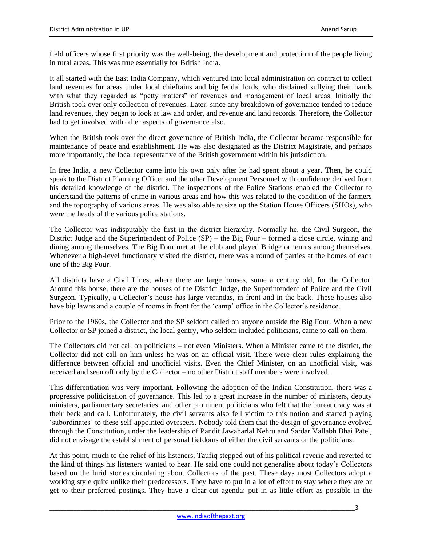field officers whose first priority was the well-being, the development and protection of the people living in rural areas. This was true essentially for British India.

It all started with the East India Company, which ventured into local administration on contract to collect land revenues for areas under local chieftains and big feudal lords, who disdained sullying their hands with what they regarded as "petty matters" of revenues and management of local areas. Initially the British took over only collection of revenues. Later, since any breakdown of governance tended to reduce land revenues, they began to look at law and order, and revenue and land records. Therefore, the Collector had to get involved with other aspects of governance also.

When the British took over the direct governance of British India, the Collector became responsible for maintenance of peace and establishment. He was also designated as the District Magistrate, and perhaps more importantly, the local representative of the British government within his jurisdiction.

In free India, a new Collector came into his own only after he had spent about a year. Then, he could speak to the District Planning Officer and the other Development Personnel with confidence derived from his detailed knowledge of the district. The inspections of the Police Stations enabled the Collector to understand the patterns of crime in various areas and how this was related to the condition of the farmers and the topography of various areas. He was also able to size up the Station House Officers (SHOs), who were the heads of the various police stations.

The Collector was indisputably the first in the district hierarchy. Normally he, the Civil Surgeon, the District Judge and the Superintendent of Police (SP) – the Big Four – formed a close circle, wining and dining among themselves. The Big Four met at the club and played Bridge or tennis among themselves. Whenever a high-level functionary visited the district, there was a round of parties at the homes of each one of the Big Four.

All districts have a Civil Lines, where there are large houses, some a century old, for the Collector. Around this house, there are the houses of the District Judge, the Superintendent of Police and the Civil Surgeon. Typically, a Collector's house has large verandas, in front and in the back. These houses also have big lawns and a couple of rooms in front for the 'camp' office in the Collector's residence.

Prior to the 1960s, the Collector and the SP seldom called on anyone outside the Big Four. When a new Collector or SP joined a district, the local gentry, who seldom included politicians, came to call on them.

The Collectors did not call on politicians – not even Ministers. When a Minister came to the district, the Collector did not call on him unless he was on an official visit. There were clear rules explaining the difference between official and unofficial visits. Even the Chief Minister, on an unofficial visit, was received and seen off only by the Collector – no other District staff members were involved.

This differentiation was very important. Following the adoption of the Indian Constitution, there was a progressive politicisation of governance. This led to a great increase in the number of ministers, deputy ministers, parliamentary secretaries, and other prominent politicians who felt that the bureaucracy was at their beck and call. Unfortunately, the civil servants also fell victim to this notion and started playing 'subordinates' to these self-appointed overseers. Nobody told them that the design of governance evolved through the Constitution, under the leadership of Pandit Jawaharlal Nehru and Sardar Vallabh Bhai Patel, did not envisage the establishment of personal fiefdoms of either the civil servants or the politicians.

At this point, much to the relief of his listeners, Taufiq stepped out of his political reverie and reverted to the kind of things his listeners wanted to hear. He said one could not generalise about today's Collectors based on the lurid stories circulating about Collectors of the past. These days most Collectors adopt a working style quite unlike their predecessors. They have to put in a lot of effort to stay where they are or get to their preferred postings. They have a clear-cut agenda: put in as little effort as possible in the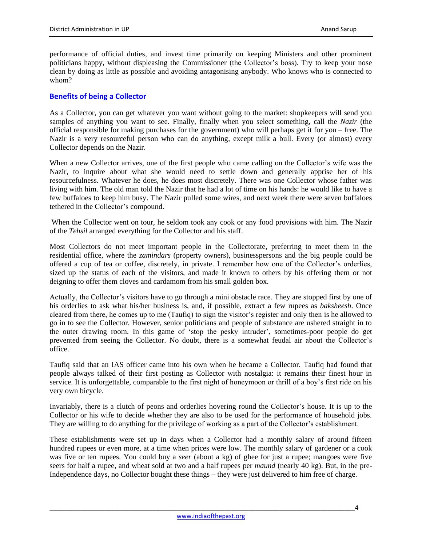performance of official duties, and invest time primarily on keeping Ministers and other prominent politicians happy, without displeasing the Commissioner (the Collector's boss). Try to keep your nose clean by doing as little as possible and avoiding antagonising anybody. Who knows who is connected to whom?

# **Benefits of being a Collector**

As a Collector, you can get whatever you want without going to the market: shopkeepers will send you samples of anything you want to see. Finally, finally when you select something, call the *Nazir* (the official responsible for making purchases for the government) who will perhaps get it for you – free. The Nazir is a very resourceful person who can do anything, except milk a bull. Every (or almost) every Collector depends on the Nazir.

When a new Collector arrives, one of the first people who came calling on the Collector's wife was the Nazir, to inquire about what she would need to settle down and generally apprise her of his resourcefulness. Whatever he does, he does most discretely. There was one Collector whose father was living with him. The old man told the Nazir that he had a lot of time on his hands: he would like to have a few buffaloes to keep him busy. The Nazir pulled some wires, and next week there were seven buffaloes tethered in the Collector's compound.

When the Collector went on tour, he seldom took any cook or any food provisions with him. The Nazir of the *Tehsil* arranged everything for the Collector and his staff.

Most Collectors do not meet important people in the Collectorate, preferring to meet them in the residential office, where the *zamindars* (property owners), businesspersons and the big people could be offered a cup of tea or coffee, discretely, in private. I remember how one of the Collector's orderlies, sized up the status of each of the visitors, and made it known to others by his offering them or not deigning to offer them cloves and cardamom from his small golden box.

Actually, the Collector's visitors have to go through a mini obstacle race. They are stopped first by one of his orderlies to ask what his/her business is, and, if possible, extract a few rupees as *baksheesh*. Once cleared from there, he comes up to me (Taufiq) to sign the visitor's register and only then is he allowed to go in to see the Collector. However, senior politicians and people of substance are ushered straight in to the outer drawing room. In this game of 'stop the pesky intruder', sometimes-poor people do get prevented from seeing the Collector. No doubt, there is a somewhat feudal air about the Collector's office.

Taufiq said that an IAS officer came into his own when he became a Collector. Taufiq had found that people always talked of their first posting as Collector with nostalgia: it remains their finest hour in service. It is unforgettable, comparable to the first night of honeymoon or thrill of a boy's first ride on his very own bicycle.

Invariably, there is a clutch of peons and orderlies hovering round the Collector's house. It is up to the Collector or his wife to decide whether they are also to be used for the performance of household jobs. They are willing to do anything for the privilege of working as a part of the Collector's establishment.

These establishments were set up in days when a Collector had a monthly salary of around fifteen hundred rupees or even more, at a time when prices were low. The monthly salary of gardener or a cook was five or ten rupees. You could buy a *seer* (about a kg) of ghee for just a rupee; mangoes were five seers for half a rupee, and wheat sold at two and a half rupees per *maund* (nearly 40 kg). But, in the pre-Independence days, no Collector bought these things – they were just delivered to him free of charge.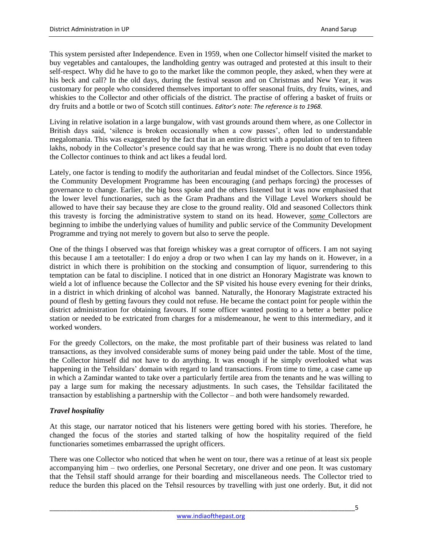This system persisted after Independence. Even in 1959, when one Collector himself visited the market to buy vegetables and cantaloupes, the landholding gentry was outraged and protested at this insult to their self-respect. Why did he have to go to the market like the common people, they asked, when they were at his beck and call? In the old days, during the festival season and on Christmas and New Year, it was customary for people who considered themselves important to offer seasonal fruits, dry fruits, wines, and whiskies to the Collector and other officials of the district. The practise of offering a basket of fruits or dry fruits and a bottle or two of Scotch still continues. *Editor's note: The reference is to 1968.*

Living in relative isolation in a large bungalow, with vast grounds around them where, as one Collector in British days said, 'silence is broken occasionally when a cow passes', often led to understandable megalomania. This was exaggerated by the fact that in an entire district with a population of ten to fifteen lakhs, nobody in the Collector's presence could say that he was wrong. There is no doubt that even today the Collector continues to think and act likes a feudal lord.

Lately, one factor is tending to modify the authoritarian and feudal mindset of the Collectors. Since 1956, the Community Development Programme has been encouraging (and perhaps forcing) the processes of governance to change. Earlier, the big boss spoke and the others listened but it was now emphasised that the lower level functionaries, such as the Gram Pradhans and the Village Level Workers should be allowed to have their say because they are close to the ground reality. Old and seasoned Collectors think this travesty is forcing the administrative system to stand on its head. However, *some* Collectors are beginning to imbibe the underlying values of humility and public service of the Community Development Programme and trying not merely to govern but also to serve the people.

One of the things I observed was that foreign whiskey was a great corruptor of officers. I am not saying this because I am a teetotaller: I do enjoy a drop or two when I can lay my hands on it. However, in a district in which there is prohibition on the stocking and consumption of liquor, surrendering to this temptation can be fatal to discipline. I noticed that in one district an Honorary Magistrate was known to wield a lot of influence because the Collector and the SP visited his house every evening for their drinks, in a district in which drinking of alcohol was banned. Naturally, the Honorary Magistrate extracted his pound of flesh by getting favours they could not refuse. He became the contact point for people within the district administration for obtaining favours. If some officer wanted posting to a better a better police station or needed to be extricated from charges for a misdemeanour, he went to this intermediary, and it worked wonders.

For the greedy Collectors, on the make, the most profitable part of their business was related to land transactions, as they involved considerable sums of money being paid under the table. Most of the time, the Collector himself did not have to do anything. It was enough if he simply overlooked what was happening in the Tehsildars' domain with regard to land transactions. From time to time, a case came up in which a Zamindar wanted to take over a particularly fertile area from the tenants and he was willing to pay a large sum for making the necessary adjustments. In such cases, the Tehsildar facilitated the transaction by establishing a partnership with the Collector – and both were handsomely rewarded.

# *Travel hospitality*

At this stage, our narrator noticed that his listeners were getting bored with his stories. Therefore, he changed the focus of the stories and started talking of how the hospitality required of the field functionaries sometimes embarrassed the upright officers.

There was one Collector who noticed that when he went on tour, there was a retinue of at least six people accompanying him – two orderlies, one Personal Secretary, one driver and one peon. It was customary that the Tehsil staff should arrange for their boarding and miscellaneous needs. The Collector tried to reduce the burden this placed on the Tehsil resources by travelling with just one orderly. But, it did not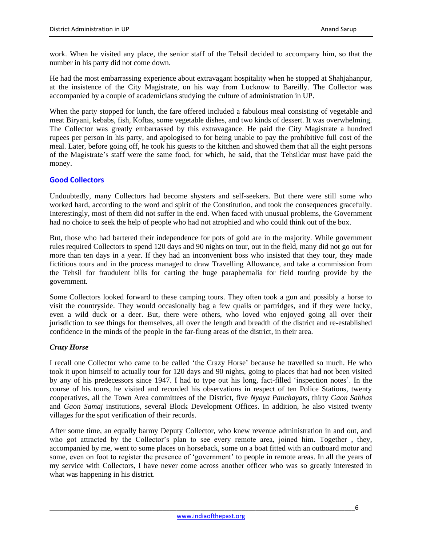work. When he visited any place, the senior staff of the Tehsil decided to accompany him, so that the number in his party did not come down.

He had the most embarrassing experience about extravagant hospitality when he stopped at Shahjahanpur, at the insistence of the City Magistrate, on his way from Lucknow to Bareilly. The Collector was accompanied by a couple of academicians studying the culture of administration in UP.

When the party stopped for lunch, the fare offered included a fabulous meal consisting of vegetable and meat Biryani, kebabs, fish, Koftas, some vegetable dishes, and two kinds of dessert. It was overwhelming. The Collector was greatly embarrassed by this extravagance. He paid the City Magistrate a hundred rupees per person in his party, and apologised to for being unable to pay the prohibitive full cost of the meal. Later, before going off, he took his guests to the kitchen and showed them that all the eight persons of the Magistrate's staff were the same food, for which, he said, that the Tehsildar must have paid the money.

## **Good Collectors**

Undoubtedly, many Collectors had become shysters and self-seekers. But there were still some who worked hard, according to the word and spirit of the Constitution, and took the consequences gracefully. Interestingly, most of them did not suffer in the end. When faced with unusual problems, the Government had no choice to seek the help of people who had not atrophied and who could think out of the box.

But, those who had bartered their independence for pots of gold are in the majority. While government rules required Collectors to spend 120 days and 90 nights on tour, out in the field, many did not go out for more than ten days in a year. If they had an inconvenient boss who insisted that they tour, they made fictitious tours and in the process managed to draw Travelling Allowance, and take a commission from the Tehsil for fraudulent bills for carting the huge paraphernalia for field touring provide by the government.

Some Collectors looked forward to these camping tours. They often took a gun and possibly a horse to visit the countryside. They would occasionally bag a few quails or partridges, and if they were lucky, even a wild duck or a deer. But, there were others, who loved who enjoyed going all over their jurisdiction to see things for themselves, all over the length and breadth of the district and re-established confidence in the minds of the people in the far-flung areas of the district, in their area.

## *Crazy Horse*

I recall one Collector who came to be called 'the Crazy Horse' because he travelled so much. He who took it upon himself to actually tour for 120 days and 90 nights, going to places that had not been visited by any of his predecessors since 1947. I had to type out his long, fact-filled 'inspection notes'. In the course of his tours, he visited and recorded his observations in respect of ten Police Stations, twenty cooperatives, all the Town Area committees of the District, five *Nyaya Panchayats*, thirty *Gaon Sabhas* and *Gaon Samaj* institutions, several Block Development Offices. In addition, he also visited twenty villages for the spot verification of their records.

After some time, an equally barmy Deputy Collector, who knew revenue administration in and out, and who got attracted by the Collector's plan to see every remote area, joined him. Together , they, accompanied by me, went to some places on horseback, some on a boat fitted with an outboard motor and some, even on foot to register the presence of 'government' to people in remote areas. In all the years of my service with Collectors, I have never come across another officer who was so greatly interested in what was happening in his district.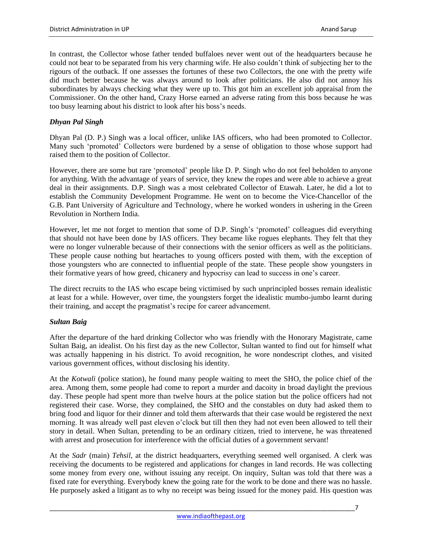In contrast, the Collector whose father tended buffaloes never went out of the headquarters because he could not bear to be separated from his very charming wife. He also couldn't think of subjecting her to the rigours of the outback. If one assesses the fortunes of these two Collectors, the one with the pretty wife did much better because he was always around to look after politicians. He also did not annoy his subordinates by always checking what they were up to. This got him an excellent job appraisal from the Commissioner. On the other hand, Crazy Horse earned an adverse rating from this boss because he was too busy learning about his district to look after his boss's needs.

# *Dhyan Pal Singh*

Dhyan Pal (D. P.) Singh was a local officer, unlike IAS officers, who had been promoted to Collector. Many such 'promoted' Collectors were burdened by a sense of obligation to those whose support had raised them to the position of Collector.

However, there are some but rare 'promoted' people like D. P. Singh who do not feel beholden to anyone for anything. With the advantage of years of service, they knew the ropes and were able to achieve a great deal in their assignments. D.P. Singh was a most celebrated Collector of Etawah. Later, he did a lot to establish the Community Development Programme. He went on to become the Vice-Chancellor of the G.B. Pant University of Agriculture and Technology, where he worked wonders in ushering in the Green Revolution in Northern India.

However, let me not forget to mention that some of D.P. Singh's 'promoted' colleagues did everything that should not have been done by IAS officers. They became like rogues elephants. They felt that they were no longer vulnerable because of their connections with the senior officers as well as the politicians. These people cause nothing but heartaches to young officers posted with them, with the exception of those youngsters who are connected to influential people of the state. These people show youngsters in their formative years of how greed, chicanery and hypocrisy can lead to success in one's career.

The direct recruits to the IAS who escape being victimised by such unprincipled bosses remain idealistic at least for a while. However, over time, the youngsters forget the idealistic mumbo-jumbo learnt during their training, and accept the pragmatist's recipe for career advancement.

## *Sultan Baig*

After the departure of the hard drinking Collector who was friendly with the Honorary Magistrate, came Sultan Baig, an idealist. On his first day as the new Collector, Sultan wanted to find out for himself what was actually happening in his district. To avoid recognition, he wore nondescript clothes, and visited various government offices, without disclosing his identity.

At the *Kotwali* (police station), he found many people waiting to meet the SHO, the police chief of the area. Among them, some people had come to report a murder and dacoity in broad daylight the previous day. These people had spent more than twelve hours at the police station but the police officers had not registered their case. Worse, they complained, the SHO and the constables on duty had asked them to bring food and liquor for their dinner and told them afterwards that their case would be registered the next morning. It was already well past eleven o'clock but till then they had not even been allowed to tell their story in detail. When Sultan, pretending to be an ordinary citizen, tried to intervene, he was threatened with arrest and prosecution for interference with the official duties of a government servant!

At the *Sadr* (main) *Tehsil*, at the district headquarters, everything seemed well organised. A clerk was receiving the documents to be registered and applications for changes in land records. He was collecting some money from every one, without issuing any receipt. On inquiry, Sultan was told that there was a fixed rate for everything. Everybody knew the going rate for the work to be done and there was no hassle. He purposely asked a litigant as to why no receipt was being issued for the money paid. His question was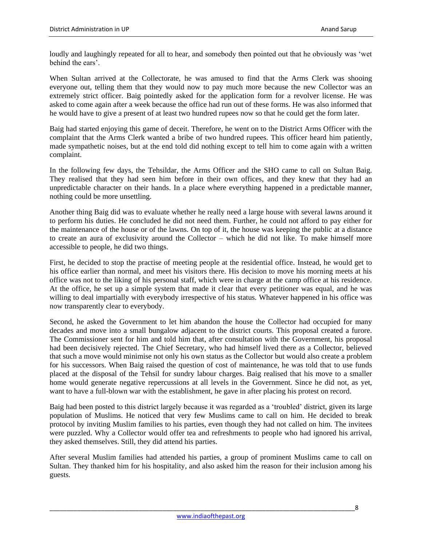loudly and laughingly repeated for all to hear, and somebody then pointed out that he obviously was 'wet behind the ears'.

When Sultan arrived at the Collectorate, he was amused to find that the Arms Clerk was shooing everyone out, telling them that they would now to pay much more because the new Collector was an extremely strict officer. Baig pointedly asked for the application form for a revolver license. He was asked to come again after a week because the office had run out of these forms. He was also informed that he would have to give a present of at least two hundred rupees now so that he could get the form later.

Baig had started enjoying this game of deceit. Therefore, he went on to the District Arms Officer with the complaint that the Arms Clerk wanted a bribe of two hundred rupees. This officer heard him patiently, made sympathetic noises, but at the end told did nothing except to tell him to come again with a written complaint.

In the following few days, the Tehsildar, the Arms Officer and the SHO came to call on Sultan Baig. They realised that they had seen him before in their own offices, and they knew that they had an unpredictable character on their hands. In a place where everything happened in a predictable manner, nothing could be more unsettling.

Another thing Baig did was to evaluate whether he really need a large house with several lawns around it to perform his duties. He concluded he did not need them. Further, he could not afford to pay either for the maintenance of the house or of the lawns. On top of it, the house was keeping the public at a distance to create an aura of exclusivity around the Collector – which he did not like. To make himself more accessible to people, he did two things.

First, he decided to stop the practise of meeting people at the residential office. Instead, he would get to his office earlier than normal, and meet his visitors there. His decision to move his morning meets at his office was not to the liking of his personal staff, which were in charge at the camp office at his residence. At the office, he set up a simple system that made it clear that every petitioner was equal, and he was willing to deal impartially with everybody irrespective of his status. Whatever happened in his office was now transparently clear to everybody.

Second, he asked the Government to let him abandon the house the Collector had occupied for many decades and move into a small bungalow adjacent to the district courts. This proposal created a furore. The Commissioner sent for him and told him that, after consultation with the Government, his proposal had been decisively rejected. The Chief Secretary, who had himself lived there as a Collector, believed that such a move would minimise not only his own status as the Collector but would also create a problem for his successors. When Baig raised the question of cost of maintenance, he was told that to use funds placed at the disposal of the Tehsil for sundry labour charges. Baig realised that his move to a smaller home would generate negative repercussions at all levels in the Government. Since he did not, as yet, want to have a full-blown war with the establishment, he gave in after placing his protest on record.

Baig had been posted to this district largely because it was regarded as a 'troubled' district, given its large population of Muslims. He noticed that very few Muslims came to call on him. He decided to break protocol by inviting Muslim families to his parties, even though they had not called on him. The invitees were puzzled. Why a Collector would offer tea and refreshments to people who had ignored his arrival, they asked themselves. Still, they did attend his parties.

After several Muslim families had attended his parties, a group of prominent Muslims came to call on Sultan. They thanked him for his hospitality, and also asked him the reason for their inclusion among his guests.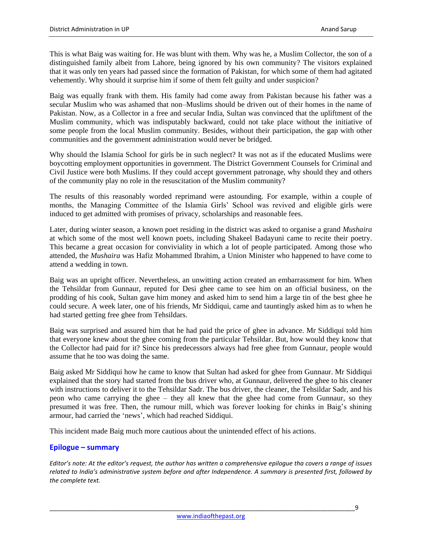This is what Baig was waiting for. He was blunt with them. Why was he, a Muslim Collector, the son of a distinguished family albeit from Lahore, being ignored by his own community? The visitors explained that it was only ten years had passed since the formation of Pakistan, for which some of them had agitated vehemently. Why should it surprise him if some of them felt guilty and under suspicion?

Baig was equally frank with them. His family had come away from Pakistan because his father was a secular Muslim who was ashamed that non–Muslims should be driven out of their homes in the name of Pakistan. Now, as a Collector in a free and secular India, Sultan was convinced that the upliftment of the Muslim community, which was indisputably backward, could not take place without the initiative of some people from the local Muslim community. Besides, without their participation, the gap with other communities and the government administration would never be bridged.

Why should the Islamia School for girls be in such neglect? It was not as if the educated Muslims were boycotting employment opportunities in government. The District Government Counsels for Criminal and Civil Justice were both Muslims. If they could accept government patronage, why should they and others of the community play no role in the resuscitation of the Muslim community?

The results of this reasonably worded reprimand were astounding. For example, within a couple of months, the Managing Committee of the Islamia Girls' School was revived and eligible girls were induced to get admitted with promises of privacy, scholarships and reasonable fees.

Later, during winter season, a known poet residing in the district was asked to organise a grand *Mushaira*  at which some of the most well known poets, including Shakeel Badayuni came to recite their poetry. This became a great occasion for conviviality in which a lot of people participated. Among those who attended, the *Mushaira* was Hafiz Mohammed Ibrahim, a Union Minister who happened to have come to attend a wedding in town.

Baig was an upright officer. Nevertheless, an unwitting action created an embarrassment for him. When the Tehsildar from Gunnaur, reputed for Desi ghee came to see him on an official business, on the prodding of his cook, Sultan gave him money and asked him to send him a large tin of the best ghee he could secure. A week later, one of his friends, Mr Siddiqui, came and tauntingly asked him as to when he had started getting free ghee from Tehsildars.

Baig was surprised and assured him that he had paid the price of ghee in advance. Mr Siddiqui told him that everyone knew about the ghee coming from the particular Tehsildar. But, how would they know that the Collector had paid for it? Since his predecessors always had free ghee from Gunnaur, people would assume that he too was doing the same.

Baig asked Mr Siddiqui how he came to know that Sultan had asked for ghee from Gunnaur. Mr Siddiqui explained that the story had started from the bus driver who, at Gunnaur, delivered the ghee to his cleaner with instructions to deliver it to the Tehsildar Sadr. The bus driver, the cleaner, the Tehsildar Sadr, and his peon who came carrying the ghee – they all knew that the ghee had come from Gunnaur, so they presumed it was free. Then, the rumour mill, which was forever looking for chinks in Baig's shining armour, had carried the 'news', which had reached Siddiqui.

This incident made Baig much more cautious about the unintended effect of his actions.

## **Epilogue – summary**

*Editor's note: At the editor's request, the author has written a comprehensive epilogue tha covers a range of issues related to India's administrative system before and after Independence. A summary is presented first, followed by the complete text.*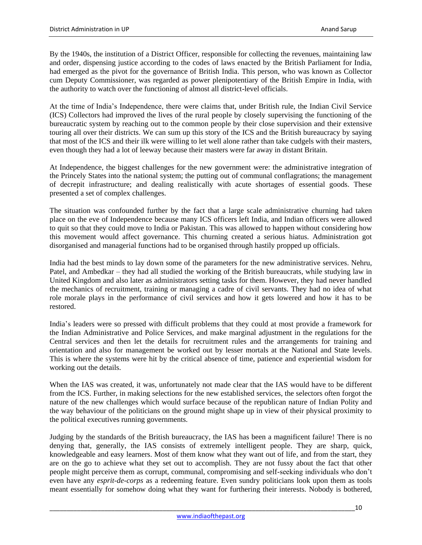By the 1940s, the institution of a District Officer, responsible for collecting the revenues, maintaining law and order, dispensing justice according to the codes of laws enacted by the British Parliament for India, had emerged as the pivot for the governance of British India. This person, who was known as Collector cum Deputy Commissioner, was regarded as power plenipotentiary of the British Empire in India, with the authority to watch over the functioning of almost all district-level officials.

At the time of India's Independence, there were claims that, under British rule, the Indian Civil Service (ICS) Collectors had improved the lives of the rural people by closely supervising the functioning of the bureaucratic system by reaching out to the common people by their close supervision and their extensive touring all over their districts. We can sum up this story of the ICS and the British bureaucracy by saying that most of the ICS and their ilk were willing to let well alone rather than take cudgels with their masters, even though they had a lot of leeway because their masters were far away in distant Britain.

At Independence, the biggest challenges for the new government were: the administrative integration of the Princely States into the national system; the putting out of communal conflagrations; the management of decrepit infrastructure; and dealing realistically with acute shortages of essential goods. These presented a set of complex challenges.

The situation was confounded further by the fact that a large scale administrative churning had taken place on the eve of Independence because many ICS officers left India, and Indian officers were allowed to quit so that they could move to India or Pakistan. This was allowed to happen without considering how this movement would affect governance. This churning created a serious hiatus. Administration got disorganised and managerial functions had to be organised through hastily propped up officials.

India had the best minds to lay down some of the parameters for the new administrative services. Nehru, Patel, and Ambedkar – they had all studied the working of the British bureaucrats, while studying law in United Kingdom and also later as administrators setting tasks for them. However, they had never handled the mechanics of recruitment, training or managing a cadre of civil servants. They had no idea of what role morale plays in the performance of civil services and how it gets lowered and how it has to be restored.

India's leaders were so pressed with difficult problems that they could at most provide a framework for the Indian Administrative and Police Services, and make marginal adjustment in the regulations for the Central services and then let the details for recruitment rules and the arrangements for training and orientation and also for management be worked out by lesser mortals at the National and State levels. This is where the systems were hit by the critical absence of time, patience and experiential wisdom for working out the details.

When the IAS was created, it was, unfortunately not made clear that the IAS would have to be different from the ICS. Further, in making selections for the new established services, the selectors often forgot the nature of the new challenges which would surface because of the republican nature of Indian Polity and the way behaviour of the politicians on the ground might shape up in view of their physical proximity to the political executives running governments.

Judging by the standards of the British bureaucracy, the IAS has been a magnificent failure! There is no denying that, generally, the IAS consists of extremely intelligent people. They are sharp, quick, knowledgeable and easy learners. Most of them know what they want out of life, and from the start, they are on the go to achieve what they set out to accomplish. They are not fussy about the fact that other people might perceive them as corrupt, communal, compromising and self-seeking individuals who don't even have any *esprit-de-corps* as a redeeming feature. Even sundry politicians look upon them as tools meant essentially for somehow doing what they want for furthering their interests. Nobody is bothered,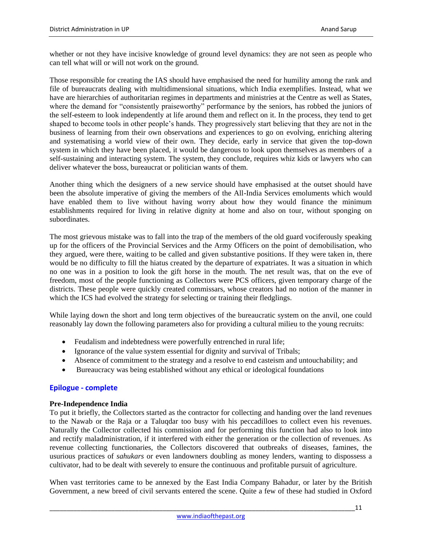whether or not they have incisive knowledge of ground level dynamics: they are not seen as people who can tell what will or will not work on the ground.

Those responsible for creating the IAS should have emphasised the need for humility among the rank and file of bureaucrats dealing with multidimensional situations, which India exemplifies. Instead, what we have are hierarchies of authoritarian regimes in departments and ministries at the Centre as well as States, where the demand for "consistently praiseworthy" performance by the seniors, has robbed the juniors of the self-esteem to look independently at life around them and reflect on it. In the process, they tend to get shaped to become tools in other people's hands. They progressively start believing that they are not in the business of learning from their own observations and experiences to go on evolving, enriching altering and systematising a world view of their own. They decide, early in service that given the top-down system in which they have been placed, it would be dangerous to look upon themselves as members of a self-sustaining and interacting system. The system, they conclude, requires whiz kids or lawyers who can deliver whatever the boss, bureaucrat or politician wants of them.

Another thing which the designers of a new service should have emphasised at the outset should have been the absolute imperative of giving the members of the All-India Services emoluments which would have enabled them to live without having worry about how they would finance the minimum establishments required for living in relative dignity at home and also on tour, without sponging on subordinates.

The most grievous mistake was to fall into the trap of the members of the old guard vociferously speaking up for the officers of the Provincial Services and the Army Officers on the point of demobilisation, who they argued, were there, waiting to be called and given substantive positions. If they were taken in, there would be no difficulty to fill the hiatus created by the departure of expatriates. It was a situation in which no one was in a position to look the gift horse in the mouth. The net result was, that on the eve of freedom, most of the people functioning as Collectors were PCS officers, given temporary charge of the districts. These people were quickly created commissars, whose creators had no notion of the manner in which the ICS had evolved the strategy for selecting or training their fledglings.

While laying down the short and long term objectives of the bureaucratic system on the anvil, one could reasonably lay down the following parameters also for providing a cultural milieu to the young recruits:

- Feudalism and indebtedness were powerfully entrenched in rural life;
- Ignorance of the value system essential for dignity and survival of Tribals;
- Absence of commitment to the strategy and a resolve to end casteism and untouchability; and
- Bureaucracy was being established without any ethical or ideological foundations

## **Epilogue - complete**

## **Pre-Independence India**

To put it briefly, the Collectors started as the contractor for collecting and handing over the land revenues to the Nawab or the Raja or a Taluqdar too busy with his peccadilloes to collect even his revenues. Naturally the Collector collected his commission and for performing this function had also to look into and rectify maladministration, if it interfered with either the generation or the collection of revenues. As revenue collecting functionaries, the Collectors discovered that outbreaks of diseases, famines, the usurious practices of *sahukars* or even landowners doubling as money lenders, wanting to dispossess a cultivator, had to be dealt with severely to ensure the continuous and profitable pursuit of agriculture.

When vast territories came to be annexed by the East India Company Bahadur, or later by the British Government, a new breed of civil servants entered the scene. Quite a few of these had studied in Oxford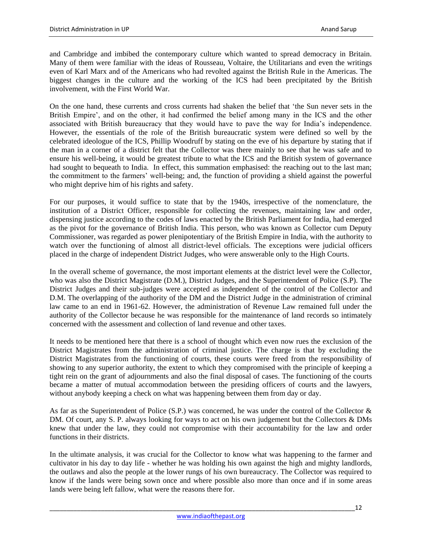and Cambridge and imbibed the contemporary culture which wanted to spread democracy in Britain. Many of them were familiar with the ideas of Rousseau, Voltaire, the Utilitarians and even the writings even of Karl Marx and of the Americans who had revolted against the British Rule in the Americas. The biggest changes in the culture and the working of the ICS had been precipitated by the British involvement, with the First World War.

On the one hand, these currents and cross currents had shaken the belief that 'the Sun never sets in the British Empire', and on the other, it had confirmed the belief among many in the ICS and the other associated with British bureaucracy that they would have to pave the way for India's independence. However, the essentials of the role of the British bureaucratic system were defined so well by the celebrated ideologue of the ICS, Phillip Woodruff by stating on the eve of his departure by stating that if the man in a corner of a district felt that the Collector was there mainly to see that he was safe and to ensure his well-being, it would be greatest tribute to what the ICS and the British system of governance had sought to bequeath to India. In effect, this summation emphasised: the reaching out to the last man; the commitment to the farmers' well-being; and, the function of providing a shield against the powerful who might deprive him of his rights and safety.

For our purposes, it would suffice to state that by the 1940s, irrespective of the nomenclature, the institution of a District Officer, responsible for collecting the revenues, maintaining law and order, dispensing justice according to the codes of laws enacted by the British Parliament for India, had emerged as the pivot for the governance of British India. This person, who was known as Collector cum Deputy Commissioner, was regarded as power plenipotentiary of the British Empire in India, with the authority to watch over the functioning of almost all district-level officials. The exceptions were judicial officers placed in the charge of independent District Judges, who were answerable only to the High Courts.

In the overall scheme of governance, the most important elements at the district level were the Collector, who was also the District Magistrate (D.M.), District Judges, and the Superintendent of Police (S.P). The District Judges and their sub-judges were accepted as independent of the control of the Collector and D.M. The overlapping of the authority of the DM and the District Judge in the administration of criminal law came to an end in 1961-62. However, the administration of Revenue Law remained full under the authority of the Collector because he was responsible for the maintenance of land records so intimately concerned with the assessment and collection of land revenue and other taxes.

It needs to be mentioned here that there is a school of thought which even now rues the exclusion of the District Magistrates from the administration of criminal justice. The charge is that by excluding the District Magistrates from the functioning of courts, these courts were freed from the responsibility of showing to any superior authority, the extent to which they compromised with the principle of keeping a tight rein on the grant of adjournments and also the final disposal of cases. The functioning of the courts became a matter of mutual accommodation between the presiding officers of courts and the lawyers, without anybody keeping a check on what was happening between them from day or day.

As far as the Superintendent of Police (S.P.) was concerned, he was under the control of the Collector & DM. Of court, any S. P. always looking for ways to act on his own judgement but the Collectors & DMs knew that under the law, they could not compromise with their accountability for the law and order functions in their districts.

In the ultimate analysis, it was crucial for the Collector to know what was happening to the farmer and cultivator in his day to day life - whether he was holding his own against the high and mighty landlords, the outlaws and also the people at the lower rungs of his own bureaucracy. The Collector was required to know if the lands were being sown once and where possible also more than once and if in some areas lands were being left fallow, what were the reasons there for.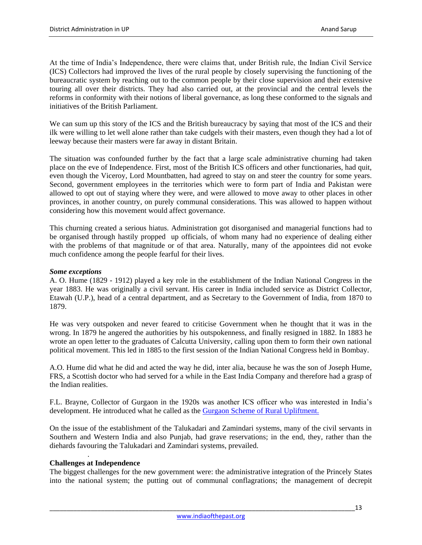At the time of India's Independence, there were claims that, under British rule, the Indian Civil Service (ICS) Collectors had improved the lives of the rural people by closely supervising the functioning of the bureaucratic system by reaching out to the common people by their close supervision and their extensive touring all over their districts. They had also carried out, at the provincial and the central levels the reforms in conformity with their notions of liberal governance, as long these conformed to the signals and initiatives of the British Parliament.

We can sum up this story of the ICS and the British bureaucracy by saying that most of the ICS and their ilk were willing to let well alone rather than take cudgels with their masters, even though they had a lot of leeway because their masters were far away in distant Britain.

The situation was confounded further by the fact that a large scale administrative churning had taken place on the eve of Independence. First, most of the British ICS officers and other functionaries, had quit, even though the Viceroy, Lord Mountbatten, had agreed to stay on and steer the country for some years. Second, government employees in the territories which were to form part of India and Pakistan were allowed to opt out of staying where they were, and were allowed to move away to other places in other provinces, in another country, on purely communal considerations. This was allowed to happen without considering how this movement would affect governance.

This churning created a serious hiatus. Administration got disorganised and managerial functions had to be organised through hastily propped up officials, of whom many had no experience of dealing either with the problems of that magnitude or of that area. Naturally, many of the appointees did not evoke much confidence among the people fearful for their lives.

#### *Some exceptions*

A. O. Hume (1829 - 1912) played a key role in the establishment of the Indian National Congress in the year 1883. He was originally a civil servant. His career in India included service as District Collector, Etawah (U.P.), head of a central department, and as Secretary to the Government of India, from 1870 to 1879.

He was very outspoken and never feared to criticise Government when he thought that it was in the wrong. In 1879 he angered the authorities by his outspokenness, and finally resigned in 1882. In 1883 he wrote an open letter to the graduates of Calcutta University, calling upon them to form their own national political movement. This led in 1885 to the first session of the Indian National Congress held in Bombay.

A.O. Hume did what he did and acted the way he did, inter alia, because he was the son of Joseph Hume, FRS, a Scottish doctor who had served for a while in the East India Company and therefore had a grasp of the Indian realities.

F.L. Brayne, Collector of Gurgaon in the 1920s was another ICS officer who was interested in India's development. He introduced what he called as the [Gurgaon Scheme of Rural Upliftment.](http://www.ssmrae.com/admin/images/77c7b02ead0c40de7bed1c274672cd3f.pdf)

On the issue of the establishment of the Talukadari and Zamindari systems, many of the civil servants in Southern and Western India and also Punjab, had grave reservations; in the end, they, rather than the diehards favouring the Talukadari and Zamindari systems, prevailed.

## **Challenges at Independence**

.

The biggest challenges for the new government were: the administrative integration of the Princely States into the national system; the putting out of communal conflagrations; the management of decrepit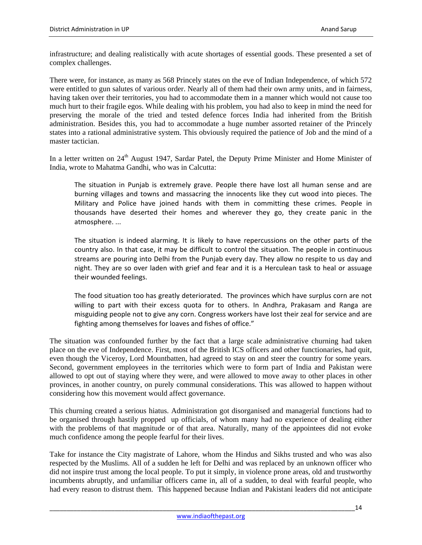infrastructure; and dealing realistically with acute shortages of essential goods. These presented a set of complex challenges.

There were, for instance, as many as 568 Princely states on the eve of Indian Independence, of which 572 were entitled to gun salutes of various order. Nearly all of them had their own army units, and in fairness, having taken over their territories, you had to accommodate them in a manner which would not cause too much hurt to their fragile egos. While dealing with his problem, you had also to keep in mind the need for preserving the morale of the tried and tested defence forces India had inherited from the British administration. Besides this, you had to accommodate a huge number assorted retainer of the Princely states into a rational administrative system. This obviously required the patience of Job and the mind of a master tactician.

In a letter written on 24<sup>th</sup> August 1947, Sardar Patel, the Deputy Prime Minister and Home Minister of India, wrote to Mahatma Gandhi, who was in Calcutta:

The situation in Punjab is extremely grave. People there have lost all human sense and are burning villages and towns and massacring the innocents like they cut wood into pieces. The Military and Police have joined hands with them in committing these crimes. People in thousands have deserted their homes and wherever they go, they create panic in the atmosphere. ...

The situation is indeed alarming. It is likely to have repercussions on the other parts of the country also. In that case, it may be difficult to control the situation. The people in continuous streams are pouring into Delhi from the Punjab every day. They allow no respite to us day and night. They are so over laden with grief and fear and it is a Herculean task to heal or assuage their wounded feelings.

The food situation too has greatly deteriorated. The provinces which have surplus corn are not willing to part with their excess quota for to others. In Andhra, Prakasam and Ranga are misguiding people not to give any corn. Congress workers have lost their zeal for service and are fighting among themselves for loaves and fishes of office."

The situation was confounded further by the fact that a large scale administrative churning had taken place on the eve of Independence. First, most of the British ICS officers and other functionaries, had quit, even though the Viceroy, Lord Mountbatten, had agreed to stay on and steer the country for some years. Second, government employees in the territories which were to form part of India and Pakistan were allowed to opt out of staying where they were, and were allowed to move away to other places in other provinces, in another country, on purely communal considerations. This was allowed to happen without considering how this movement would affect governance.

This churning created a serious hiatus. Administration got disorganised and managerial functions had to be organised through hastily propped up officials, of whom many had no experience of dealing either with the problems of that magnitude or of that area. Naturally, many of the appointees did not evoke much confidence among the people fearful for their lives.

Take for instance the City magistrate of Lahore, whom the Hindus and Sikhs trusted and who was also respected by the Muslims. All of a sudden he left for Delhi and was replaced by an unknown officer who did not inspire trust among the local people. To put it simply, in violence prone areas, old and trustworthy incumbents abruptly, and unfamiliar officers came in, all of a sudden, to deal with fearful people, who had every reason to distrust them. This happened because Indian and Pakistani leaders did not anticipate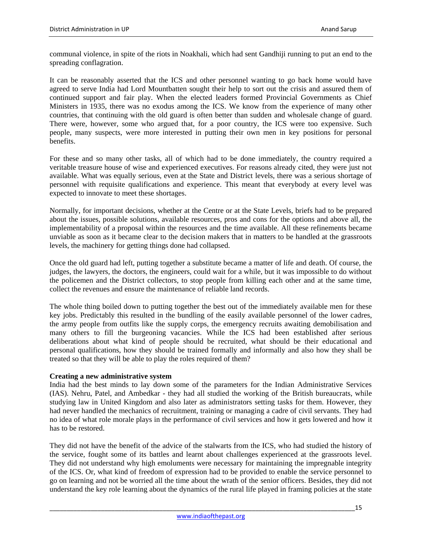communal violence, in spite of the riots in Noakhali, which had sent Gandhiji running to put an end to the spreading conflagration.

It can be reasonably asserted that the ICS and other personnel wanting to go back home would have agreed to serve India had Lord Mountbatten sought their help to sort out the crisis and assured them of continued support and fair play. When the elected leaders formed Provincial Governments as Chief Ministers in 1935, there was no exodus among the ICS. We know from the experience of many other countries, that continuing with the old guard is often better than sudden and wholesale change of guard. There were, however, some who argued that, for a poor country, the ICS were too expensive. Such people, many suspects, were more interested in putting their own men in key positions for personal benefits.

For these and so many other tasks, all of which had to be done immediately, the country required a veritable treasure house of wise and experienced executives. For reasons already cited, they were just not available. What was equally serious, even at the State and District levels, there was a serious shortage of personnel with requisite qualifications and experience. This meant that everybody at every level was expected to innovate to meet these shortages.

Normally, for important decisions, whether at the Centre or at the State Levels, briefs had to be prepared about the issues, possible solutions, available resources, pros and cons for the options and above all, the implementability of a proposal within the resources and the time available. All these refinements became unviable as soon as it became clear to the decision makers that in matters to be handled at the grassroots levels, the machinery for getting things done had collapsed.

Once the old guard had left, putting together a substitute became a matter of life and death. Of course, the judges, the lawyers, the doctors, the engineers, could wait for a while, but it was impossible to do without the policemen and the District collectors, to stop people from killing each other and at the same time, collect the revenues and ensure the maintenance of reliable land records.

The whole thing boiled down to putting together the best out of the immediately available men for these key jobs. Predictably this resulted in the bundling of the easily available personnel of the lower cadres, the army people from outfits like the supply corps, the emergency recruits awaiting demobilisation and many others to fill the burgeoning vacancies. While the ICS had been established after serious deliberations about what kind of people should be recruited, what should be their educational and personal qualifications, how they should be trained formally and informally and also how they shall be treated so that they will be able to play the roles required of them?

#### **Creating a new administrative system**

India had the best minds to lay down some of the parameters for the Indian Administrative Services (IAS). Nehru, Patel, and Ambedkar - they had all studied the working of the British bureaucrats, while studying law in United Kingdom and also later as administrators setting tasks for them. However, they had never handled the mechanics of recruitment, training or managing a cadre of civil servants. They had no idea of what role morale plays in the performance of civil services and how it gets lowered and how it has to be restored.

They did not have the benefit of the advice of the stalwarts from the ICS, who had studied the history of the service, fought some of its battles and learnt about challenges experienced at the grassroots level. They did not understand why high emoluments were necessary for maintaining the impregnable integrity of the ICS. Or, what kind of freedom of expression had to be provided to enable the service personnel to go on learning and not be worried all the time about the wrath of the senior officers. Besides, they did not understand the key role learning about the dynamics of the rural life played in framing policies at the state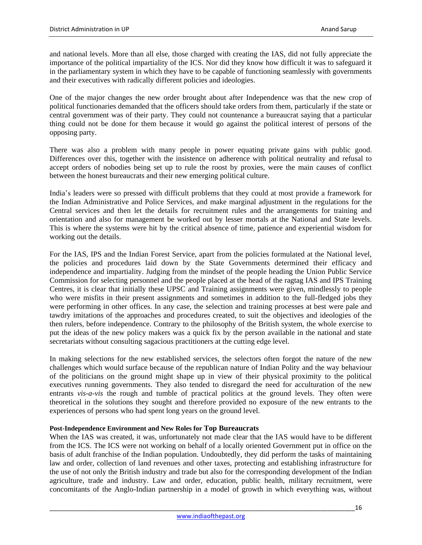and national levels. More than all else, those charged with creating the IAS, did not fully appreciate the importance of the political impartiality of the ICS. Nor did they know how difficult it was to safeguard it in the parliamentary system in which they have to be capable of functioning seamlessly with governments and their executives with radically different policies and ideologies.

One of the major changes the new order brought about after Independence was that the new crop of political functionaries demanded that the officers should take orders from them, particularly if the state or central government was of their party. They could not countenance a bureaucrat saying that a particular thing could not be done for them because it would go against the political interest of persons of the opposing party.

There was also a problem with many people in power equating private gains with public good. Differences over this, together with the insistence on adherence with political neutrality and refusal to accept orders of nobodies being set up to rule the roost by proxies, were the main causes of conflict between the honest bureaucrats and their new emerging political culture.

India's leaders were so pressed with difficult problems that they could at most provide a framework for the Indian Administrative and Police Services, and make marginal adjustment in the regulations for the Central services and then let the details for recruitment rules and the arrangements for training and orientation and also for management be worked out by lesser mortals at the National and State levels. This is where the systems were hit by the critical absence of time, patience and experiential wisdom for working out the details.

For the IAS, IPS and the Indian Forest Service, apart from the policies formulated at the National level, the policies and procedures laid down by the State Governments determined their efficacy and independence and impartiality. Judging from the mindset of the people heading the Union Public Service Commission for selecting personnel and the people placed at the head of the ragtag IAS and IPS Training Centres, it is clear that initially these UPSC and Training assignments were given, mindlessly to people who were misfits in their present assignments and sometimes in addition to the full-fledged jobs they were performing in other offices. In any case, the selection and training processes at best were pale and tawdry imitations of the approaches and procedures created, to suit the objectives and ideologies of the then rulers, before independence. Contrary to the philosophy of the British system, the whole exercise to put the ideas of the new policy makers was a quick fix by the person available in the national and state secretariats without consulting sagacious practitioners at the cutting edge level.

In making selections for the new established services, the selectors often forgot the nature of the new challenges which would surface because of the republican nature of Indian Polity and the way behaviour of the politicians on the ground might shape up in view of their physical proximity to the political executives running governments. They also tended to disregard the need for acculturation of the new entrants *vis-a-vis* the rough and tumble of practical politics at the ground levels. They often were theoretical in the solutions they sought and therefore provided no exposure of the new entrants to the experiences of persons who had spent long years on the ground level.

#### **Post-Independence Environment and New Roles for Top Bureaucrats**

When the IAS was created, it was, unfortunately not made clear that the IAS would have to be different from the ICS. The ICS were not working on behalf of a locally oriented Government put in office on the basis of adult franchise of the Indian population. Undoubtedly, they did perform the tasks of maintaining law and order, collection of land revenues and other taxes, protecting and establishing infrastructure for the use of not only the British industry and trade but also for the corresponding development of the Indian agriculture, trade and industry. Law and order, education, public health, military recruitment, were concomitants of the Anglo-Indian partnership in a model of growth in which everything was, without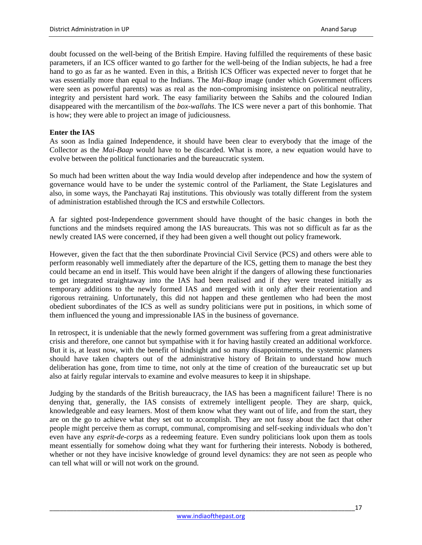doubt focussed on the well-being of the British Empire. Having fulfilled the requirements of these basic parameters, if an ICS officer wanted to go farther for the well-being of the Indian subjects, he had a free hand to go as far as he wanted. Even in this, a British ICS Officer was expected never to forget that he was essentially more than equal to the Indians. The *Mai-Baap* image (under which Government officers were seen as powerful parents) was as real as the non-compromising insistence on political neutrality, integrity and persistent hard work. The easy familiarity between the Sahibs and the coloured Indian disappeared with the mercantilism of the *box-wallahs*. The ICS were never a part of this bonhomie. That is how; they were able to project an image of judiciousness.

#### **Enter the IAS**

As soon as India gained Independence, it should have been clear to everybody that the image of the Collector as the *Mai-Baap* would have to be discarded. What is more, a new equation would have to evolve between the political functionaries and the bureaucratic system.

So much had been written about the way India would develop after independence and how the system of governance would have to be under the systemic control of the Parliament, the State Legislatures and also, in some ways, the Panchayati Raj institutions. This obviously was totally different from the system of administration established through the ICS and erstwhile Collectors.

A far sighted post-Independence government should have thought of the basic changes in both the functions and the mindsets required among the IAS bureaucrats. This was not so difficult as far as the newly created IAS were concerned, if they had been given a well thought out policy framework.

However, given the fact that the then subordinate Provincial Civil Service (PCS) and others were able to perform reasonably well immediately after the departure of the ICS, getting them to manage the best they could became an end in itself. This would have been alright if the dangers of allowing these functionaries to get integrated straightaway into the IAS had been realised and if they were treated initially as temporary additions to the newly formed IAS and merged with it only after their reorientation and rigorous retraining. Unfortunately, this did not happen and these gentlemen who had been the most obedient subordinates of the ICS as well as sundry politicians were put in positions, in which some of them influenced the young and impressionable IAS in the business of governance.

In retrospect, it is undeniable that the newly formed government was suffering from a great administrative crisis and therefore, one cannot but sympathise with it for having hastily created an additional workforce. But it is, at least now, with the benefit of hindsight and so many disappointments, the systemic planners should have taken chapters out of the administrative history of Britain to understand how much deliberation has gone, from time to time, not only at the time of creation of the bureaucratic set up but also at fairly regular intervals to examine and evolve measures to keep it in shipshape.

Judging by the standards of the British bureaucracy, the IAS has been a magnificent failure! There is no denying that, generally, the IAS consists of extremely intelligent people. They are sharp, quick, knowledgeable and easy learners. Most of them know what they want out of life, and from the start, they are on the go to achieve what they set out to accomplish. They are not fussy about the fact that other people might perceive them as corrupt, communal, compromising and self-seeking individuals who don't even have any *esprit-de-corps* as a redeeming feature. Even sundry politicians look upon them as tools meant essentially for somehow doing what they want for furthering their interests. Nobody is bothered, whether or not they have incisive knowledge of ground level dynamics: they are not seen as people who can tell what will or will not work on the ground.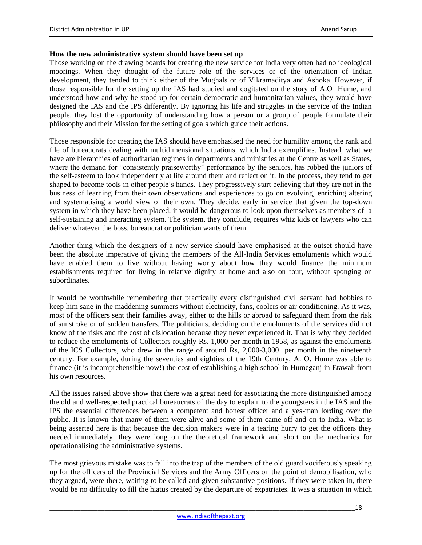#### **How the new administrative system should have been set up**

Those working on the drawing boards for creating the new service for India very often had no ideological moorings. When they thought of the future role of the services or of the orientation of Indian development, they tended to think either of the Mughals or of Vikramaditya and Ashoka. However, if those responsible for the setting up the IAS had studied and cogitated on the story of A.O Hume, and understood how and why he stood up for certain democratic and humanitarian values, they would have designed the IAS and the IPS differently. By ignoring his life and struggles in the service of the Indian people, they lost the opportunity of understanding how a person or a group of people formulate their philosophy and their Mission for the setting of goals which guide their actions.

Those responsible for creating the IAS should have emphasised the need for humility among the rank and file of bureaucrats dealing with multidimensional situations, which India exemplifies. Instead, what we have are hierarchies of authoritarian regimes in departments and ministries at the Centre as well as States, where the demand for "consistently praiseworthy" performance by the seniors, has robbed the juniors of the self-esteem to look independently at life around them and reflect on it. In the process, they tend to get shaped to become tools in other people's hands. They progressively start believing that they are not in the business of learning from their own observations and experiences to go on evolving, enriching altering and systematising a world view of their own. They decide, early in service that given the top-down system in which they have been placed, it would be dangerous to look upon themselves as members of a self-sustaining and interacting system. The system, they conclude, requires whiz kids or lawyers who can deliver whatever the boss, bureaucrat or politician wants of them.

Another thing which the designers of a new service should have emphasised at the outset should have been the absolute imperative of giving the members of the All-India Services emoluments which would have enabled them to live without having worry about how they would finance the minimum establishments required for living in relative dignity at home and also on tour, without sponging on subordinates.

It would be worthwhile remembering that practically every distinguished civil servant had hobbies to keep him sane in the maddening summers without electricity, fans, coolers or air conditioning. As it was, most of the officers sent their families away, either to the hills or abroad to safeguard them from the risk of sunstroke or of sudden transfers. The politicians, deciding on the emoluments of the services did not know of the risks and the cost of dislocation because they never experienced it. That is why they decided to reduce the emoluments of Collectors roughly Rs. 1,000 per month in 1958, as against the emoluments of the ICS Collectors, who drew in the range of around Rs, 2,000-3,000 per month in the nineteenth century. For example, during the seventies and eighties of the 19th Century, A. O. Hume was able to finance (it is incomprehensible now!) the cost of establishing a high school in Humeganj in Etawah from his own resources.

All the issues raised above show that there was a great need for associating the more distinguished among the old and well-respected practical bureaucrats of the day to explain to the youngsters in the IAS and the IPS the essential differences between a competent and honest officer and a yes-man lording over the public. It is known that many of them were alive and some of them came off and on to India. What is being asserted here is that because the decision makers were in a tearing hurry to get the officers they needed immediately, they were long on the theoretical framework and short on the mechanics for operationalising the administrative systems.

The most grievous mistake was to fall into the trap of the members of the old guard vociferously speaking up for the officers of the Provincial Services and the Army Officers on the point of demobilisation, who they argued, were there, waiting to be called and given substantive positions. If they were taken in, there would be no difficulty to fill the hiatus created by the departure of expatriates. It was a situation in which